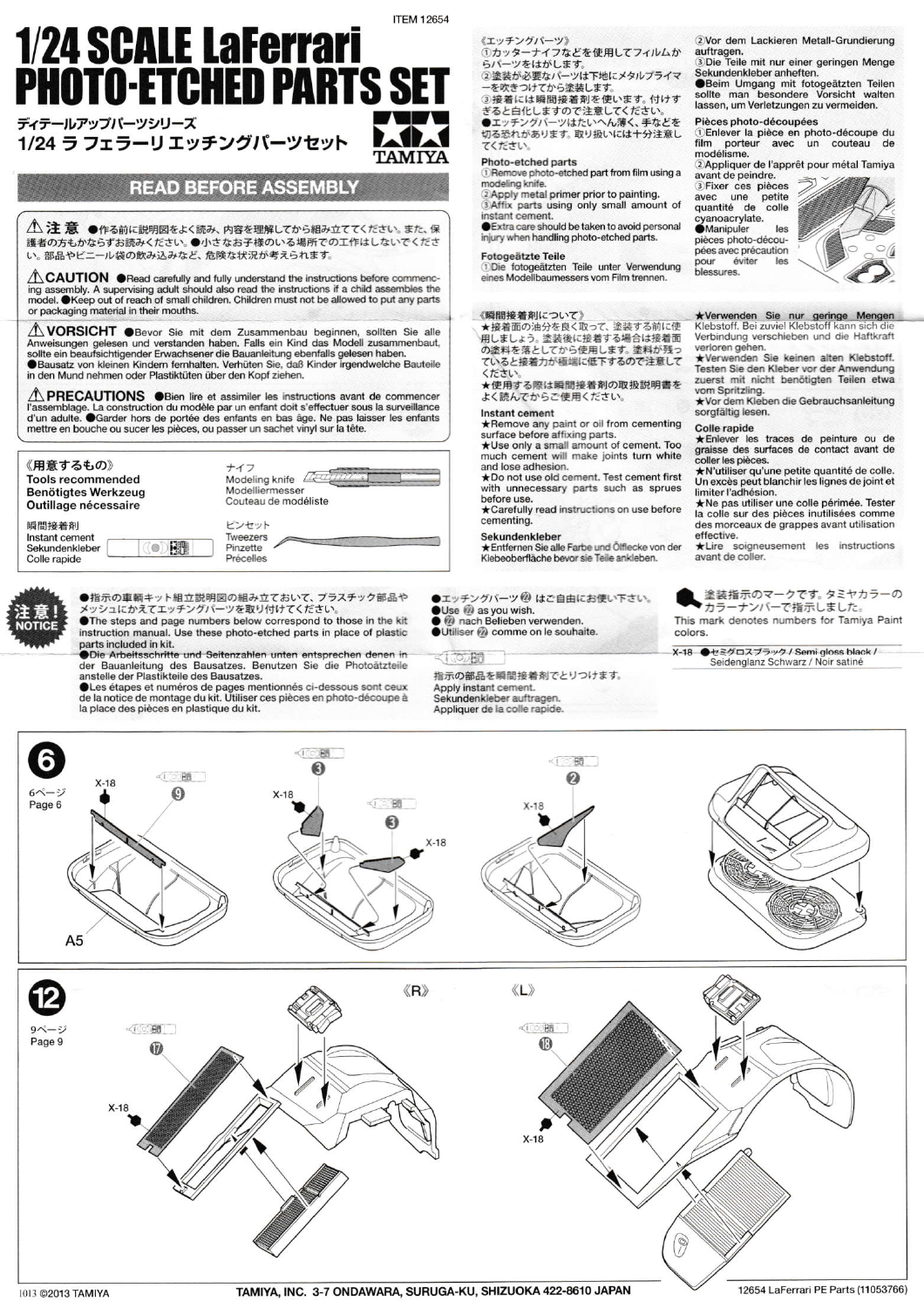# **ITFM 12654 1/24 SCALE LaFerrari<br>PHOTO-ETCHED PARTS SET** テールアップパーツシリーズ  $\mathbf{L}$

1/24 ラ フェラーリ エッチングパーツセット

## **READ BEFORE ASSEMBLY**

△注意 ●作る前に説明図をよく読み、内容を理解してから組み立ててください。また、保 - 1.1 んへ、●TFの明い記号をご覧いて、PHPを生産していったのでしていたこと。これ、だ<br>護者の方もかならずお読みください。●小さなお子様のいる場所での工作はしないでくださ<br>い。部品やビニール袋の飲み込みなど、危険な状況が考えられます。

 $\triangle$  CAUTION  $\bullet$ Read carefully and fully understand the instructions before commencing assembly. A supervising adult should also read the instructions if a child assembles the model. OKeep out of reach of small children. Children must not be allowed to put any parts or packaging material in their mouths.

**1 VORSICHT** OBevor Sie mit dem Zusammenbau beginnen, sollten Sie alle Anweisungen gelesen und verstanden haben. Falls ein Kind das Modell zusammenbaut, sollte ein beaufsichtigender Erwachsener die Bauanleitung ebenfalls gelesen haben. Bausatz von kleinen Kindern fernhalten, Verhüten Sie, daß Kinder irgendwelche Bauteile in den Mund nehmen oder Plastiktüten über den Kopf ziehen.

 $\hat{\triangle}$  PRECAUTIONS  $\bullet$  Bien lire et assimiler les instructions avant de commencer l'assemblage. La construction du modèle par un enfant doit s'effectuer sous la surveillance d'un adulte.  $\hat{\bullet}$  Garder hors de portée de



●指示の車輌キット組立説明図の組み立ておいて、プラスチック部品や メッシュにかえてエッチングパーツを取り付けてください。



Die Arbeitsschritte und Seitenzahlen unten entsprechen denen in der Bauanleitung des Bausatzes. Benutzen Sie die Photoätzteile<br>anstelle der Plastikteile des Bausatzes.

aussi de la notice de numéros de pages mentionnés ci-dessous sont ceux<br>de la notice de montage du kit. Utiliser ces pièces en photo-découpe à la place des pièces en plastique du kit.

#### 《エッチングパーツ》

、エン・シン・・・<br>①カッターナイフなどを使用してフィルムか<br>らパーツをはがします。

②塗装が必要なパーツは下地にメタルプライマ を吹きつけてから塗装します。

③接着には瞬間接着剤を使います。付けす<br>③接着には瞬間接着剤を使います。付けす<br>●エッチングパーツはたいへん薄く、手などを 切る恐れがあります。取り扱いには十分注意し てください

### Photo-etched parts

1) Remove photo-etched part from film using a modeling knife.

2 Apply metal primer prior to painting.<br>3 Affix parts using only small amount of

instant cement.

Extra care should be taken to avoid personal injury when handling photo-etched parts.

Fotogeätzte Teile<br>1Die fotogeätzten Teile unter Verwendung eines Modellbaumessers vom Film trennen.

#### 《瞬間接着剤について》

★接着面の油分を良く取って、塗装する前に使<br>用しましょう。塗装後に接着する場合は接着面 の塗料を落としてから使用します。塗料が残っ ていると接着力が極端に低下するので注意して  $25 + 11$ 

★使用する際は瞬間接着剤の取扱説明書を よく読んでからご使用ください。

#### Instant cement

 $\star$  Remove any paint or oil from cementing<br>surface before affixing parts.<br> $\star$ Use only a small amount of cement. Too much cement will make joints turn white

and lose adhesion. \*Do not use old cement. Test cement first with unnecessary parts such as sprues

before use. \*Carefully read instructions on use before cementing.

#### Sekundenkleber

★Entfernen Sie alle Farbe und Ölflecke von der Klebeoberfläche bevor sie Teile ankleben.

●エッチングパーツ®はご自由にお使い下さい。

### Use @ as you wish.

**ACODER** 指示の部品を瞬間接着剤でとりつけます。 Apply instant cement



Sekundenkleber anheften

Seim Umgang mit fotogeätzten Teilen<br>sollte man besondere Vorsicht walten<br>lassen, um Verletzungen zu vermeiden.

#### Pièces photo-découpées

Chilever la pièce en photo-découpe du<br>film porteur avec un couteau de modélisme.

2. Appliquer de l'apprêt pour métal Tamiya<br>avant de peindre. 3 Fixer ces pièces petite une avec

quantité de colle cyanoacrylate. les Manipuler pièces photo-découpées avec précaution éviter .<br>pour les blessures.



★Verwenden Sie nur geringe Mengen<br>Klebstoff. Bei zuviel Klebstoff kann sich die<br>Verbindung verschieben und die Haftkraft

verloren gehen.<br>★Verwenden Sie keinen alten Klebstoff. Testen Sie den Kleber vor der Anwendung zuerst mit nicht benötigten Teilen etwa

vom Spritzling.<br>★Vor dem Kleben die Gebrauchsanleitung sorgfältig lesen.

#### Colle rapide

★Enlever les traces de peinture ou de<br>graisse des surfaces de contact avant de coller les pièces.

★ N'utiliser qu'une petite quantité de colle.<br>Un excès peut blanchir les lignes de joint et

on excess peut numeros esperantes de joint et<br>limiter l'adhésion.<br>★Ne pas utiliser une colle périmée. Tester<br>la colle sur des pièces inutilisées comme<br>des morceaux de grappes avant utilisation

effective.<br>
\*Lire soigneusement les instructions avant de coller.

塗装指示のマークです。タミヤカラー  $-\sigma$ ■カラーナンバーで指示しました。 This mark denotes numbers for Tamiya Paint colors

X-18 ●セミグロスブラック / Semi gloss black / Seidenglanz Schwarz / Noir satiné



1013 ©2013 TAMIYA

TAMIYA, INC. 3-7 ONDAWARA, SURUGA-KU, SHIZUOKA 422-8610 JAPAN

Utiliser @ comme on le souhaite.

Sekundenkleber auftrage

Appliquer de la colle rapide.